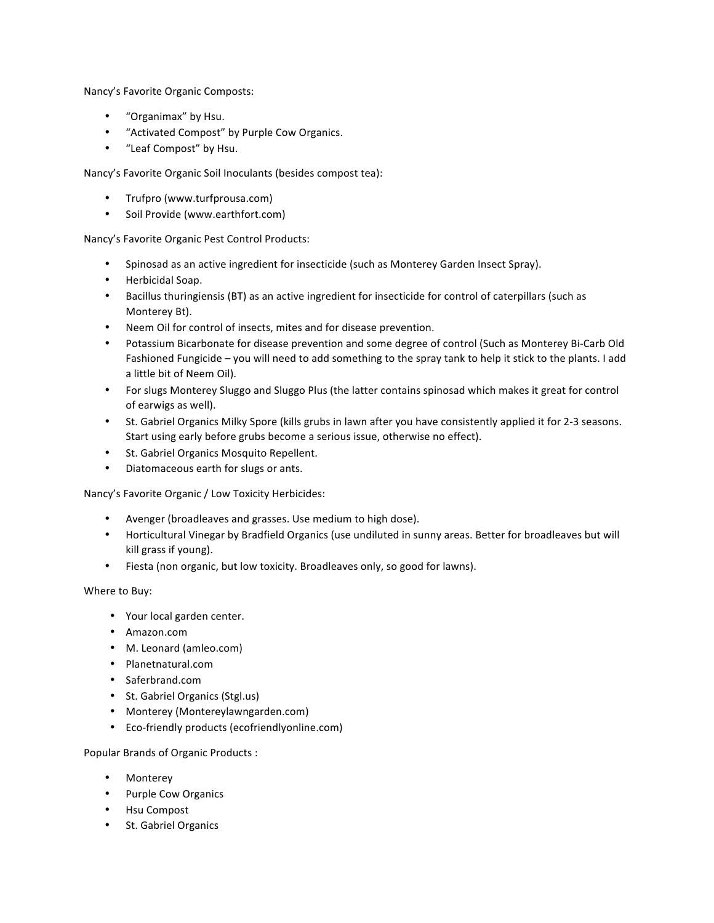Nancy's Favorite Organic Composts:

- "Organimax" by Hsu.
- "Activated Compost" by Purple Cow Organics.
- "Leaf Compost" by Hsu.

Nancy's Favorite Organic Soil Inoculants (besides compost tea):

- Trufpro (www.turfprousa.com)
- Soil Provide (www.earthfort.com)

Nancy's Favorite Organic Pest Control Products:

- Spinosad as an active ingredient for insecticide (such as Monterey Garden Insect Spray).
- Herbicidal Soap.
- Bacillus thuringiensis (BT) as an active ingredient for insecticide for control of caterpillars (such as Monterey Bt).
- Neem Oil for control of insects, mites and for disease prevention.
- Potassium Bicarbonate for disease prevention and some degree of control (Such as Monterey Bi-Carb Old Fashioned Fungicide – you will need to add something to the spray tank to help it stick to the plants. I add a little bit of Neem Oil).
- For slugs Monterey Sluggo and Sluggo Plus (the latter contains spinosad which makes it great for control of earwigs as well).
- St. Gabriel Organics Milky Spore (kills grubs in lawn after you have consistently applied it for 2-3 seasons. Start using early before grubs become a serious issue, otherwise no effect).
- St. Gabriel Organics Mosquito Repellent.
- Diatomaceous earth for slugs or ants.

Nancy's Favorite Organic / Low Toxicity Herbicides:

- Avenger (broadleaves and grasses. Use medium to high dose).
- Horticultural Vinegar by Bradfield Organics (use undiluted in sunny areas. Better for broadleaves but will kill grass if young).
- Fiesta (non organic, but low toxicity. Broadleaves only, so good for lawns).

Where to Buy:

- Your local garden center.
- Amazon.com
- M. Leonard (amleo.com)
- Planetnatural.com
- Saferbrand.com
- St. Gabriel Organics (Stgl.us)
- Monterey (Montereylawngarden.com)
- Eco-friendly products (ecofriendlyonline.com)

Popular Brands of Organic Products :

- Monterey
- Purple Cow Organics
- Hsu Compost
- St. Gabriel Organics